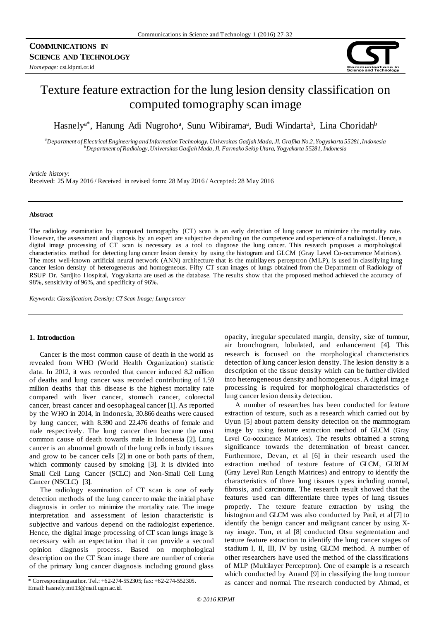

# Texture feature extraction for the lung lesion density classification on computed tomography scan image

Hasnely<sup>a\*</sup>, Hanung Adi Nugroho<sup>a</sup>, Sunu Wibirama<sup>a</sup>, Budi Windarta<sup>b</sup>, Lina Choridah<sup>b</sup>

*<sup>a</sup>Department of Electrical Engineering and Information Technology, Universitas Gadjah Mada, Jl. Grafika No.2, Yogyakarta 55281, Indonesia <sup>b</sup>Department of Radiology, Universitas Gadjah Mada, Jl. Farmako Sekip Utara, Yogyakarta 55281, Indonesia*

*Article history:*

Received: 25 May 2016 / Received in revised form: 28 May 2016 / Accepted: 28 May 2016

#### **Abstract**

The radiology examination by computed tomography (CT) scan is an early detection of lung cancer to minimize the mortality rate. However, the assessment and diagnosis by an expert are subjective depending on the competence and experience of a radiologist. Hence, a digital image processing of CT scan is necessary as a tool to diagnose the lung cancer. This research proposes a morphological characteristics method for detecting lung cancer lesion density by using the histogram and GLCM (Gray Level Co-occurrence Matrices). The most well-known artificial neural network (ANN) architecture that is the multilayers perceptron (MLP), is used in classifying lung cancer lesion density of heterogeneous and homogeneous. Fifty CT scan images of lungs obtained from the Department of Radiology of RSUP Dr. Sardjito Hospital, Yogyakarta are used as the database. The results show that the proposed method achieved the accuracy of 98%, sensitivity of 96%, and specificity of 96%.

*Keywords: Classification; Density; CT Scan Image; Lung cancer*

## **1. Introduction**

Cancer is the most common cause of death in the world as revealed from WHO (World Health Organization) statistic data. In 2012, it was recorded that cancer induced 8.2 million of deaths and lung cancer was recorded contributing of 1.59 million deaths that this disease is the highest mortality rate compared with liver cancer, stomach cancer, colorectal cancer, breast cancer and oesophageal cancer [1]. As reported by the WHO in 2014, in Indonesia, 30.866 deaths were caused by lung cancer, with 8.390 and 22.476 deaths of female and male respectively. The lung cancer then became the most common cause of death towards male in Indonesia [2]. Lung cancer is an abnormal growth of the lung cells in body tissues and grow to be cancer cells [2] in one or both parts of them, which commonly caused by smoking [3]. It is divided into Small Cell Lung Cancer (SCLC) and Non-Small Cell Lung Cancer (NSCLC) [3].

The radiology examination of CT scan is one of early detection methods of the lung cancer to make the initial phase diagnosis in order to minimize the mortality rate. The image interpretation and assessment of lesion characteristic is subjective and various depend on the radiologist experience. Hence, the digital image processing of CT scan lungs image is necessary with an expectation that it can provide a second opinion diagnosis process. Based on morphological description on the CT Scan image there are number of criteria of the primary lung cancer diagnosis including ground glass

Email: hasnely.mti13@mail.ugm.ac.id.

opacity, irregular speculated margin, density, size of tumour, air bronchogram, lobulated, and enhancement [4]. This research is focused on the morphological characteristics detection of lung cancer lesion density. The lesion density is a description of the tissue density which can be further divided into heterogeneous density and homogeneous. A digital image processing is required for morphological characteristics of lung cancer lesion density detection.

A number of researches has been conducted for feature extraction of texture, such as a research which carried out by Uyun [5] about pattern density detection on the mammogram image by using feature extraction method of GLCM (Gray Level Co-occurrence Matrices). The results obtained a strong significance towards the determination of breast cancer. Furthermore, Devan, et al [6] in their research used the extraction method of texture feature of GLCM, GLRLM (Gray Level Run Length Matrices) and entropy to identify the characteristics of three lung tissues types including normal, fibrosis, and carcinoma. The research result showed that the features used can differentiate three types of lung tissues properly. The texture feature extraction by using the histogram and GLCM was also conducted by Patil, et al [7] to identify the benign cancer and malignant cancer by using Xray image. Tun, et al [8] conducted Otsu segmentation and texture feature extraction to identify the lung cancer stages of stadium I, II, III, IV by using GLCM method. A number of other researchers have used the method of the classifications of MLP (Multilayer Perceptron). One of example is a research which conducted by Anand [9] in classifying the lung tumour \* Corresponding author. Tel.: +62-274-552305; fax: +62-274-552305. as cancer and normal. The research conducted by Ahmad, et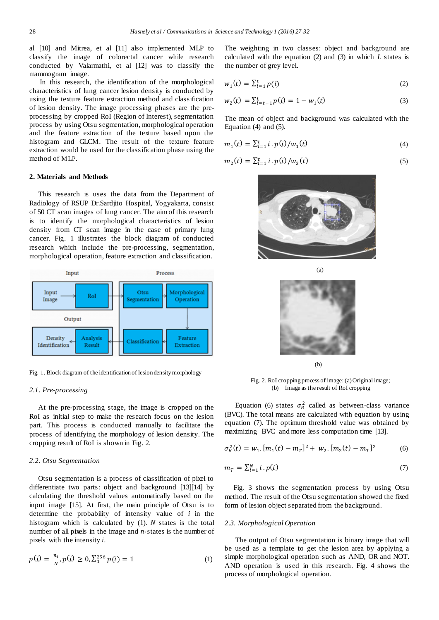al [10] and Mitrea, et al [11] also implemented MLP to classify the image of colorectal cancer while research conducted by Valarmathi, et al [12] was to classify the mammogram image.

In this research, the identification of the morphological characteristics of lung cancer lesion density is conducted by using the texture feature extraction method and classification of lesion density. The image processing phases are the preprocessing by cropped RoI (Region of Interest), segmentation process by using Otsu segmentation, morphological operation and the feature extraction of the texture based upon the histogram and GLCM. The result of the texture feature extraction would be used for the classification phase using the method of MLP.

# **2. Materials and Methods**

This research is uses the data from the Department of Radiology of RSUP Dr.Sardjito Hospital, Yogyakarta, consist of 50 CT scan images of lung cancer. The aim of this research is to identify the morphological characteristics of lesion density from CT scan image in the case of primary lung cancer. Fig. 1 illustrates the block diagram of conducted research which include the pre-processing, segmentation, morphological operation, feature extraction and classification.



Fig. 1. Block diagram of the identification of lesion density morphology

## *2.1. Pre-processing*

At the pre-processing stage, the image is cropped on the RoI as initial step to make the research focus on the lesion part. This process is conducted manually to facilitate the process of identifying the morphology of lesion density. The cropping result of RoI is shown in Fig. 2.

## *2.2. Otsu Segmentation*

Otsu segmentation is a process of classification of pixel to differentiate two parts: object and background [13][14] by calculating the threshold values automatically based on the input image [15]. At first, the main principle of Otsu is to determine the probability of intensity value of *i* in the histogram which is calculated by (1). *N* states is the total number of all pixels in the image and *ni*states is the number of pixels with the intensity *i*.

$$
p(i) = \frac{n_i}{N}, p(i) \ge 0, \sum_{i=1}^{256} p(i) = 1
$$
 (1)

The weighting in two classes: object and background are calculated with the equation (2) and (3) in which *L* states is the number of grey level.

$$
w_1(t) = \sum_{i=1}^t p(i)
$$
 (2)

$$
w_2(t) = \sum_{i=t+1}^{L} p(i) = 1 - w_1(t)
$$
\n(3)

The mean of object and background was calculated with the Equation (4) and (5).

$$
m_1(t) = \sum_{i=1}^{t} i \cdot p(i) / w_1(t)
$$
\n(4)

$$
m_2(t) = \sum_{i=1}^{t} i \cdot p(i) / w_2(t)
$$
 (5)





(a)

(b)

Fig. 2. RoI cropping process of image: (a) Original image; (b) Image as the result of RoI cropping

Equation (6) states  $\sigma_B^2$  called as between-class variance (BVC). The total means are calculated with equation by using equation (7). The optimum threshold value was obtained by maximizing BVC and more less computation time [13].

$$
\sigma_B^2(t) = w_1 \cdot [m_1(t) - m_T]^2 + w_2 \cdot [m_2(t) - m_T]^2 \tag{6}
$$

$$
m_T = \sum_{i=1}^N i \cdot p(i) \tag{7}
$$

Fig. 3 shows the segmentation process by using Otsu method. The result of the Otsu segmentation showed the fixed form of lesion object separated from the background.

#### *2.3. Morphological Operation*

The output of Otsu segmentation is binary image that will be used as a template to get the lesion area by applying a simple morphological operation such as AND, OR and NOT. AND operation is used in this research. Fig. 4 shows the process of morphological operation.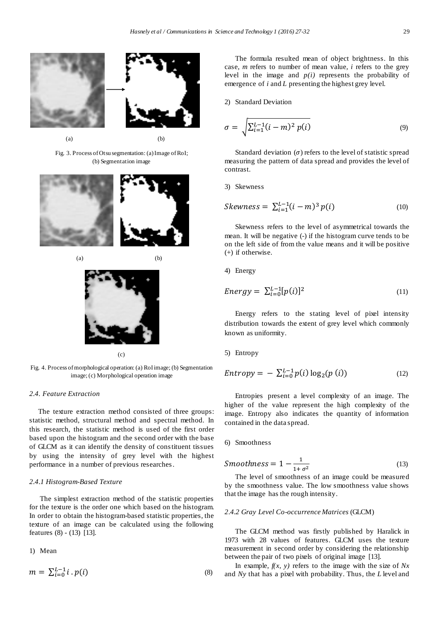



Fig. 3. Process of Otsu segmentation: (a)Image of RoI; (b) Segmentation image





(c)

Fig. 4. Process of morphological operation: (a) RoIimage; (b) Segmentation image; (c) Morphological operation image

## *2.4. Feature Extraction*

The texture extraction method consisted of three groups: statistic method, structural method and spectral method. In this research, the statistic method is used of the first order based upon the histogram and the second order with the base of GLCM as it can identify the density of constituent tissues by using the intensity of grey level with the highest performance in a number of previous researches.

## *2.4.1 Histogram-Based Texture*

The simplest extraction method of the statistic properties for the texture is the order one which based on the histogram. In order to obtain the histogram-based statistic properties, the texture of an image can be calculated using the following features (8) - (13) [13].

1) Mean

$$
m = \sum_{i=0}^{L-1} i \cdot p(i) \tag{8}
$$

The formula resulted mean of object brightness. In this case, *m* refers to number of mean value*, i* refers to the grey level in the image and *p(i)* represents the probability of emergence of *i* and *L* presenting the highest grey level.

2) Standard Deviation

$$
\sigma = \sqrt{\sum_{i=1}^{L-1} (i-m)^2 p(i)}
$$
\n(9)

Standard deviation  $(\sigma)$  refers to the level of statistic spread measuring the pattern of data spread and provides the level of contrast.

3) Skewness

Skewness = 
$$
\sum_{i=1}^{L-1} (i-m)^3 p(i)
$$
 (10)

Skewness refers to the level of asymmetrical towards the mean. It will be negative (-) if the histogram curve tends to be on the left side of from the value means and it will be positive (+) if otherwise.

4) Energy

$$
Energy = \sum_{i=0}^{L-1} [p(i)]^2 \tag{11}
$$

Energy refers to the stating level of pixel intensity distribution towards the extent of grey level which commonly known as uniformity.

## 5) Entropy

$$
Entropy = - \sum_{i=0}^{L-1} p(i) \log_2(p(i))
$$
 (12)

Entropies present a level complexity of an image. The higher of the value represent the high complexity of the image. Entropy also indicates the quantity of information contained in the data spread.

6) Smoothness

$$
Smoothness = 1 - \frac{1}{1 + \sigma^2}
$$
 (13)

The level of smoothness of an image could be measured by the smoothness value. The low smoothness value shows that the image has the rough intensity.

### *2.4.2 Gray Level Co-occurrence Matrices* (GLCM)

The GLCM method was firstly published by Haralick in 1973 with 28 values of features. GLCM uses the texture measurement in second order by considering the relationship between the pair of two pixels of original image [13].

In example, *f(x, y)* refers to the image with the size of *Nx* and *Ny* that has a pixel with probability. Thus, the *L* level and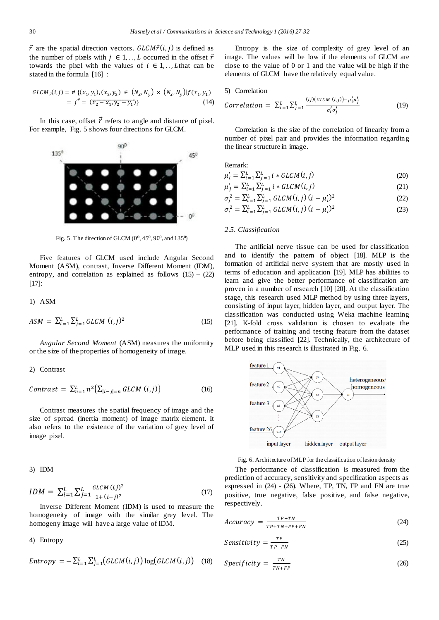$\vec{r}$  are the spatial direction vectors. GLCM $\vec{r}(i, j)$  is defined as the number of pixels with  $j \in 1, \ldots, L$  occurred in the offset  $\vec{r}$ towards the pixel with the values of  $i \in 1, \ldots, L$  that can be stated in the formula [16] :

$$
GLCM_r(i,j) = # \{ (x_1, y_1), (x_2, y_2) \in (N_x, N_y) \times (N_x, N_y) | f(x_1, y_1) = j^{\vec{r}} = (\overline{x_2 - x_1, y_2 - y_1'}) \}
$$
(14)

In this case, offset  $\vec{r}$  refers to angle and distance of pixel. For example, Fig. 5 shows four directions for GLCM.



Fig. 5. The direction of GLCM  $(0^{\circ}, 45^{\circ}, 90^{\circ}, \text{and } 135^{\circ})$ 

Five features of GLCM used include Angular Second Moment (ASM), contrast, Inverse Different Moment (IDM), entropy, and correlation as explained as follows  $(15) - (22)$ [17]:

1) ASM

$$
ASM = \sum_{i=1}^{L} \sum_{j=1}^{L} GLCM \ (i,j)^2 \tag{15}
$$

*Angular Second Moment* (ASM) measures the uniformity or the size of the properties of homogeneity of image.

## 2) Contrast

$$
Contrast = \sum_{n=1}^{L} n^2 \left\{ \sum_{|i-j|=n} GLCM(i,j) \right\} \tag{16}
$$

Contrast measures the spatial frequency of image and the size of spread (inertia moment) of image matrix element. It also refers to the existence of the variation of grey level of image pixel.

3) IDM

$$
IDM = \sum_{i=1}^{L} \sum_{j=1}^{L} \frac{GLCM(i,j)^2}{1 + (i-j)^2}
$$
 (17)

Inverse Different Moment (IDM) is used to measure the homogeneity of image with the similar grey level. The homogeny image will have a large value of IDM.

4) Entropy

$$
Entropy = -\sum_{i=1}^{L} \sum_{j=1}^{L} (GLCM(i,j)) \log (GLCM(i,j)) \quad (18)
$$

Entropy is the size of complexity of grey level of an image. The values will be low if the elements of GLCM are close to the value of 0 or 1 and the value will be high if the elements of GLCM have the relatively equal value.

#### 5) Correlation

$$
Correlation = \sum_{i=1}^{L} \sum_{j=1}^{L} \frac{(ij)(GLCM(i,j)) - \mu'_i \mu'_j}{\sigma'_i \sigma'_j}
$$
(19)

Correlation is the size of the correlation of linearity from a number of pixel pair and provides the information regarding the linear structure in image.

Remark:

$$
\mu'_{i} = \sum_{i=1}^{L} \sum_{j=1}^{L} i * GLCM(i, j)
$$
\n(20)

$$
\mu'_{j} = \sum_{i=1}^{L} \sum_{j=1}^{L} i * GLCM(i, j)
$$
\n(21)

$$
\sigma_j^2 = \sum_{i=1}^L \sum_{j=1}^L GLCM(i,j) \ (i - \mu'_i)^2 \tag{22}
$$

$$
\sigma_i^2 = \sum_{i=1}^L \sum_{j=1}^L GLCM(i,j) (i - \mu'_i)^2
$$
 (23)

#### *2.5. Classification*

The artificial nerve tissue can be used for classification and to identify the pattern of object [18]. MLP is the formation of artificial nerve system that are mostly used in terms of education and application [19]. MLP has abilities to learn and give the better performance of classification are proven in a number of research [10] [20]. At the classification stage, this research used MLP method by using three layers, consisting of input layer, hidden layer, and output layer. The classification was conducted using Weka machine learning [21]. K-fold cross validation is chosen to evaluate the performance of training and testing feature from the dataset before being classified [22]. Technically, the architecture of MLP used in this research is illustrated in Fig. 6.





The performance of classification is measured from the prediction of accuracy, sensitivity and specification aspects as expressed in (24) - (26). Where, TP, TN, FP and FN are true positive, true negative, false positive, and false negative, respectively.

$$
Accuracy = \frac{TP + TN}{TP + TN + FP + FN}
$$
 (24)

$$
Sensitivity = \frac{TP}{TP+FN}
$$
 (25)

$$
Specificity = \frac{TN}{TN+FP}
$$
 (26)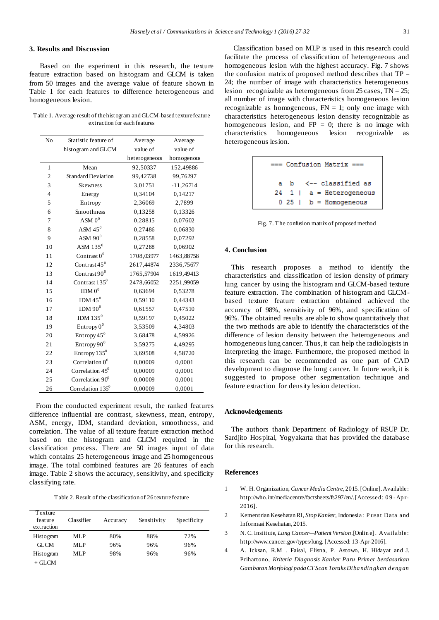## **3. Results and Discussion**

Based on the experiment in this research, the texture feature extraction based on histogram and GLCM is taken from 50 images and the average value of feature shown in Table 1 for each features to difference heterogeneous and homogeneous lesion.

Table 1. Average result of the histogram and GLCM-based texture feature extraction for each features

| N <sub>o</sub> | Statistic feature of      | Average       | Average     |
|----------------|---------------------------|---------------|-------------|
|                | histogram and GLCM        | value of      | value of    |
|                |                           | heterogeneous | homogenous  |
| $\mathbf{1}$   | Mean                      | 92,50337      | 152,49886   |
| $\overline{c}$ | Standard Deviation        | 99,42738      | 99,76297    |
| 3              | <b>Skewness</b>           | 3,01751       | $-11,26714$ |
| $\overline{4}$ | Energy                    | 0,34104       | 0,14217     |
| 5              | Entropy                   | 2,36069       | 2,7899      |
| 6              | Smoothness                | 0,13258       | 0,13326     |
| 7              | ASM $0^0$                 | 0,28815       | 0,07602     |
| 8              | ASM $45^0$                | 0,27486       | 0,06830     |
| 9              | ASM $90^0$                | 0,28558       | 0,07292     |
| 10             | ASM $135^0$               | 0,27288       | 0.06902     |
| 11             | Contrast $0^0$            | 1708,03977    | 1463,88758  |
| 12             | Contrast $45^0$           | 2617,44874    | 2336,75677  |
| 13             | Contrast $90^0$           | 1765,57904    | 1619,49413  |
| 14             | Contrast 135 <sup>0</sup> | 2478,66052    | 2251,99059  |
| 15             | IDM 0 <sup>0</sup>        | 0,63694       | 0,53278     |
| 16             | IDM $45^{\circ}$          | 0,59110       | 0.44343     |
| 17             | IDM $90^0$                | 0,61557       | 0,47510     |
| 18             | IDM $135^0$               | 0,59197       | 0.45022     |
| 19             | Entropy $0^0$             | 3,53509       | 4,34803     |
| 20             | Entropy $45^{\circ}$      | 3,68478       | 4,59926     |
| 21             | Entropy 90 <sup>0</sup>   | 3,59275       | 4,49295     |
| 22             | Entropy $135^0$           | 3,69508       | 4,58720     |
| 23             | Correlation $00$          | 0,00009       | 0,0001      |
| 24             | Correlation $45^0$        | 0,00009       | 0,0001      |
| 25             | Correlation $90^0$        | 0,00009       | 0,0001      |
| 26             | Correlation $135^0$       | 0,00009       | 0,0001      |

From the conducted experiment result, the ranked features difference influential are contrast, skewness, mean, entropy, ASM, energy, IDM, standard deviation, smoothness, and correlation. The value of all texture feature extraction method based on the histogram and GLCM required in the classification process. There are 50 images input of data which contains 25 heterogeneous image and 25 homogeneous image. The total combined features are 26 features of each image. Table 2 shows the accuracy, sensitivity, and specificity classifying rate.

Table 2. Result of the classification of 26 texture feature

| Texture<br>feature<br>extraction | Classifier | Accuracy | Sensitivity | Specificity |
|----------------------------------|------------|----------|-------------|-------------|
| Histogram                        | MLP        | 80%      | 88%         | 72%         |
| <b>GLCM</b>                      | MLP        | 96%      | 96%         | 96%         |
| Histogram                        | MLP        | 98%      | 96%         | 96%         |
| + GLCM                           |            |          |             |             |

Classification based on MLP is used in this research could facilitate the process of classification of heterogeneous and homogeneous lesion with the highest accuracy. Fig. 7 shows the confusion matrix of proposed method describes that  $TP =$ 24; the number of image with characteristics heterogeneous lesion recognizable as heterogeneous from  $25$  cases,  $TN = 25$ ; all number of image with characteristics homogeneous lesion recognizable as homogeneous,  $FN = 1$ ; only one image with characteristics heterogeneous lesion density recognizable as homogeneous lesion, and  $FP = 0$ ; there is no image with characteristics homogeneous lesion recognizable as homogeneous lesion recognizable as heterogeneous lesion.

| $==$ Confusion Matrix $==$ |  |                                      |  |  |  |  |  |
|----------------------------|--|--------------------------------------|--|--|--|--|--|
|                            |  | a b <-- classified as                |  |  |  |  |  |
|                            |  | $24 \quad 1 \quad a = Heterogeneous$ |  |  |  |  |  |
|                            |  | $0\ 25$   $b =$ Homogeneous          |  |  |  |  |  |

Fig. 7. The confusion matrix of proposed method

## **4. Conclusion**

This research proposes a method to identify the characteristics and classification of lesion density of primary lung cancer by using the histogram and GLCM-based texture feature extraction. The combination of histogram and GLCMbased texture feature extraction obtained achieved the accuracy of 98%, sensitivity of 96%, and specification of 96%. The obtained results are able to show quantitatively that the two methods are able to identify the characteristics of the difference of lesion density between the heterogeneous and homogeneous lung cancer. Thus, it can help the radiologists in interpreting the image. Furthermore, the proposed method in this research can be recommended as one part of CAD development to diagnose the lung cancer. In future work, it is suggested to propose other segmentation technique and feature extraction for density lesion detection.

### **Acknowledgements**

The authors thank Department of Radiology of RSUP Dr. Sardjito Hospital, Yogyakarta that has provided the database for this research.

#### **References**

- 1 W. H. Organization, *Cancer Media Centre*, 2015. [Online]. Available: http://who.int/mediacentre/factsheets/fs297/en/. [Accessed: 0 9 -Ap r-2016].
- 2 Kementrian Kesehatan RI, *Stop Kanker*, Indonesia: P usat Data and Informasi Kesehatan, 2015.
- 3 N. C. Institute, *Lung Cancer—Patient Version*.[Onlin e]. Available: http://www.cancer.gov/types/lung. [Accessed: 13-Apr-2016].
- 4 A. Icksan, R.M . Faisal, Elisna, P. Astowo, H. Hidayat and J. Prihartono, *Kriteria Diagnosis Kanker Paru Primer berdasarkan Gambaran Morfologi pada CT Scan Toraks Diba ndin gkan d eng an*